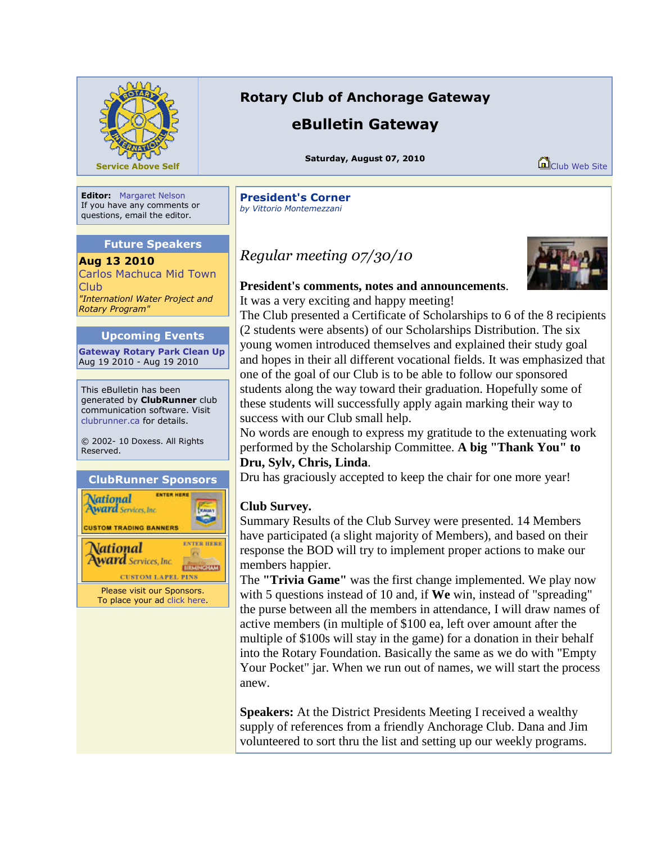

# **Rotary Club of Anchorage Gateway**

# **eBulletin Gateway**

**Saturday, August 07, 2010**

Club Web Site

**Editor:** Margaret Nelson If you have any comments or questions, email the editor.

### **Future Speakers**

**Aug 13 2010** Carlos Machuca Mid Town Club *"Internationl Water Project and Rotary Program"*

## **Upcoming Events**

**Gateway Rotary Park Clean Up** Aug 19 2010 - Aug 19 2010

This eBulletin has been generated by **ClubRunner** club communication software. Visit clubrunner.ca for details.

© 2002- 10 Doxess. All Rights Reserved.

### **ClubRunner Sponsors**



**President's Corner** *by Vittorio Montemezzani*

*Regular meeting 07/30/10*



# **President's comments, notes and announcements**.

It was a very exciting and happy meeting! The Club presented a Certificate of Scholarships to 6 of the 8 recipients (2 students were absents) of our Scholarships Distribution. The six young women introduced themselves and explained their study goal and hopes in their all different vocational fields. It was emphasized that one of the goal of our Club is to be able to follow our sponsored students along the way toward their graduation. Hopefully some of these students will successfully apply again marking their way to success with our Club small help.

No words are enough to express my gratitude to the extenuating work performed by the Scholarship Committee. **A big "Thank You" to Dru, Sylv, Chris, Linda**.

Dru has graciously accepted to keep the chair for one more year!

## **Club Survey.**

Summary Results of the Club Survey were presented. 14 Members have participated (a slight majority of Members), and based on their response the BOD will try to implement proper actions to make our members happier.

The **"Trivia Game"** was the first change implemented. We play now with 5 questions instead of 10 and, if **We** win, instead of "spreading" the purse between all the members in attendance, I will draw names of active members (in multiple of \$100 ea, left over amount after the multiple of \$100s will stay in the game) for a donation in their behalf into the Rotary Foundation. Basically the same as we do with "Empty Your Pocket" jar. When we run out of names, we will start the process anew.

**Speakers:** At the District Presidents Meeting I received a wealthy supply of references from a friendly Anchorage Club. Dana and Jim volunteered to sort thru the list and setting up our weekly programs.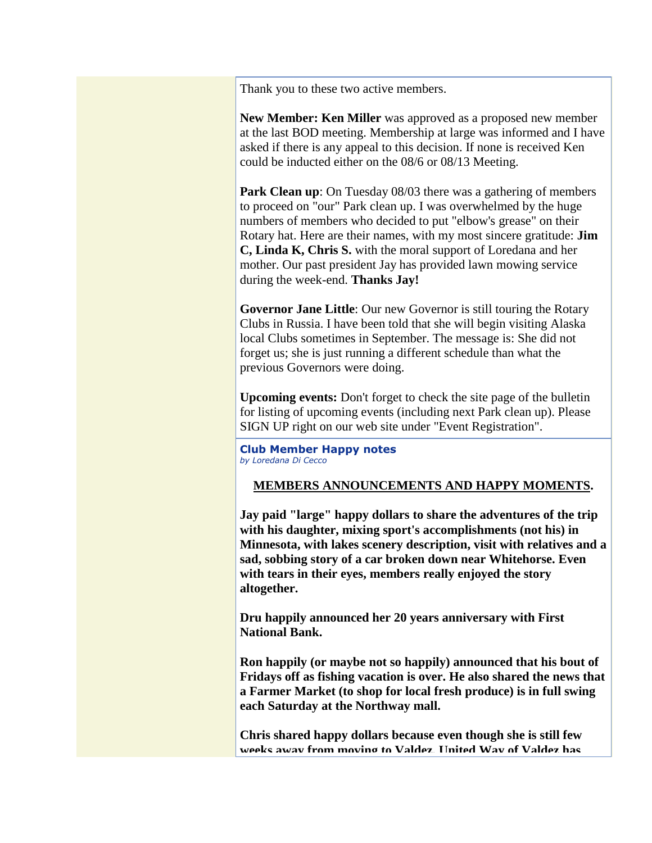Thank you to these two active members.

**New Member: Ken Miller** was approved as a proposed new member at the last BOD meeting. Membership at large was informed and I have asked if there is any appeal to this decision. If none is received Ken could be inducted either on the 08/6 or 08/13 Meeting.

**Park Clean up**: On Tuesday 08/03 there was a gathering of members to proceed on "our" Park clean up. I was overwhelmed by the huge numbers of members who decided to put "elbow's grease" on their Rotary hat. Here are their names, with my most sincere gratitude: **Jim C, Linda K, Chris S.** with the moral support of Loredana and her mother. Our past president Jay has provided lawn mowing service during the week-end. **Thanks Jay!**

**Governor Jane Little**: Our new Governor is still touring the Rotary Clubs in Russia. I have been told that she will begin visiting Alaska local Clubs sometimes in September. The message is: She did not forget us; she is just running a different schedule than what the previous Governors were doing.

**Upcoming events:** Don't forget to check the site page of the bulletin for listing of upcoming events (including next Park clean up). Please SIGN UP right on our web site under "Event Registration".

#### **Club Member Happy notes** *by Loredana Di Cecco*

### **MEMBERS ANNOUNCEMENTS AND HAPPY MOMENTS.**

**Jay paid "large" happy dollars to share the adventures of the trip with his daughter, mixing sport's accomplishments (not his) in Minnesota, with lakes scenery description, visit with relatives and a sad, sobbing story of a car broken down near Whitehorse. Even with tears in their eyes, members really enjoyed the story altogether.**

**Dru happily announced her 20 years anniversary with First National Bank.**

**Ron happily (or maybe not so happily) announced that his bout of Fridays off as fishing vacation is over. He also shared the news that a Farmer Market (to shop for local fresh produce) is in full swing each Saturday at the Northway mall.**

**Chris shared happy dollars because even though she is still few weeks away from moving to Valdez, United Way of Valdez has**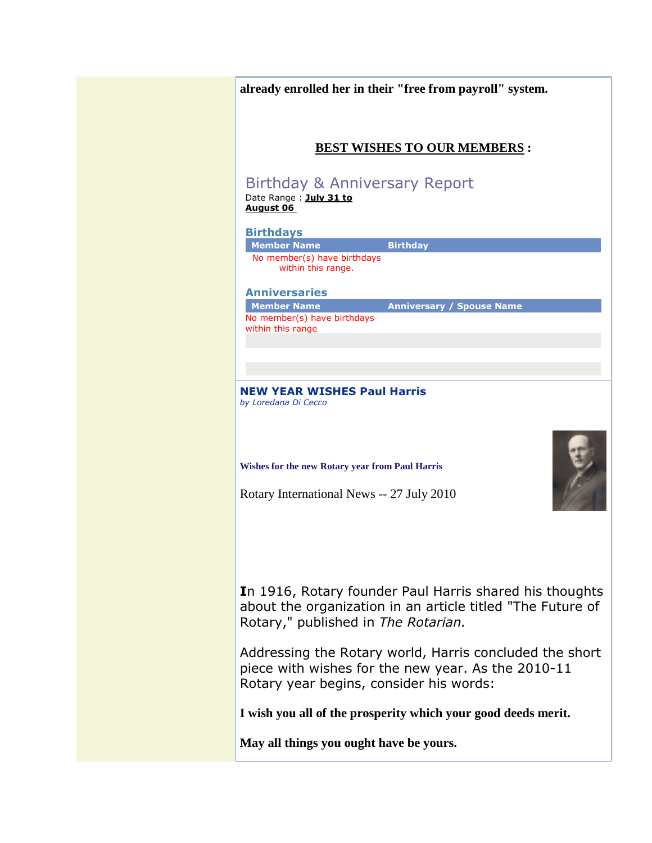| already enrolled her in their "free from payroll" system.                                                                                                    |                                  |
|--------------------------------------------------------------------------------------------------------------------------------------------------------------|----------------------------------|
| <b>BEST WISHES TO OUR MEMBERS :</b>                                                                                                                          |                                  |
| Birthday & Anniversary Report<br>Date Range : July 31 to<br><b>August 06</b>                                                                                 |                                  |
| <b>Birthdays</b>                                                                                                                                             |                                  |
| <b>Birthday</b><br><b>Member Name</b><br>No member(s) have birthdays<br>within this range.                                                                   |                                  |
| <b>Anniversaries</b>                                                                                                                                         |                                  |
| <b>Member Name</b><br>No member(s) have birthdays<br>within this range                                                                                       | <b>Anniversary / Spouse Name</b> |
| by Loredana Di Cecco<br>Wishes for the new Rotary year from Paul Harris<br>Rotary International News -- 27 July 2010                                         |                                  |
| In 1916, Rotary founder Paul Harris shared his thoughts<br>about the organization in an article titled "The Future of<br>Rotary," published in The Rotarian. |                                  |
|                                                                                                                                                              |                                  |
| piece with wishes for the new year. As the 2010-11<br>Rotary year begins, consider his words:                                                                |                                  |
| Addressing the Rotary world, Harris concluded the short<br>I wish you all of the prosperity which your good deeds merit.                                     |                                  |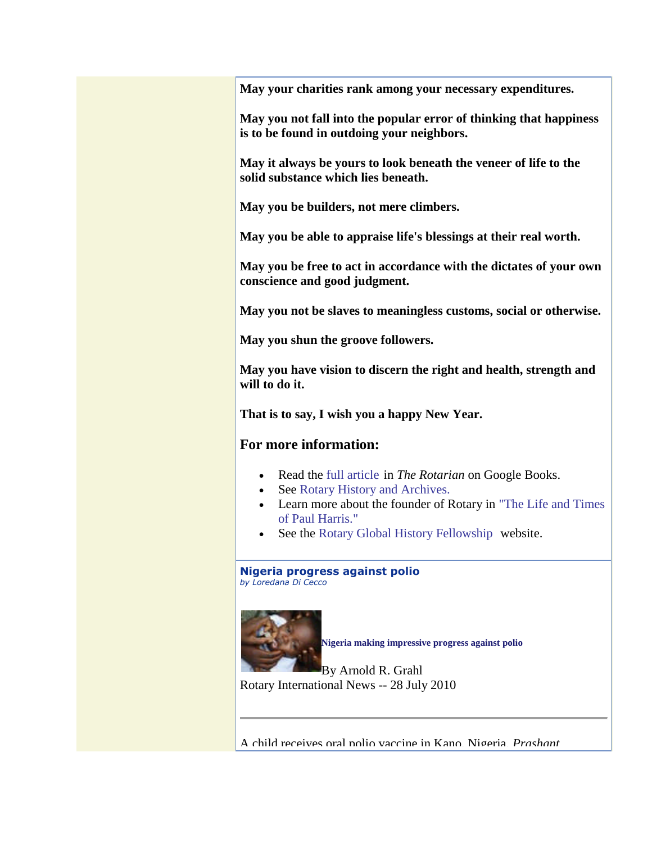**May your charities rank among your necessary expenditures.**

**May you not fall into the popular error of thinking that happiness is to be found in outdoing your neighbors.**

**May it always be yours to look beneath the veneer of life to the solid substance which lies beneath.**

**May you be builders, not mere climbers.**

**May you be able to appraise life's blessings at their real worth.**

**May you be free to act in accordance with the dictates of your own conscience and good judgment.**

**May you not be slaves to meaningless customs, social or otherwise.**

**May you shun the groove followers.**

**May you have vision to discern the right and health, strength and will to do it.**

**That is to say, I wish you a happy New Year.**

## **For more information:**

- Read the full article in *The Rotarian* on Google Books.
- See Rotary History and Archives.
- Learn more about the founder of Rotary in "The Life and Times of Paul Harris."
- See the Rotary Global History Fellowship website.

**Nigeria progress against polio** *by Loredana Di Cecco*



**Nigeria making impressive progress against polio**

By Arnold R. Grahl Rotary International News -- 28 July 2010

A child receives oral polio vaccine in Kano, Nigeria. *Prashant*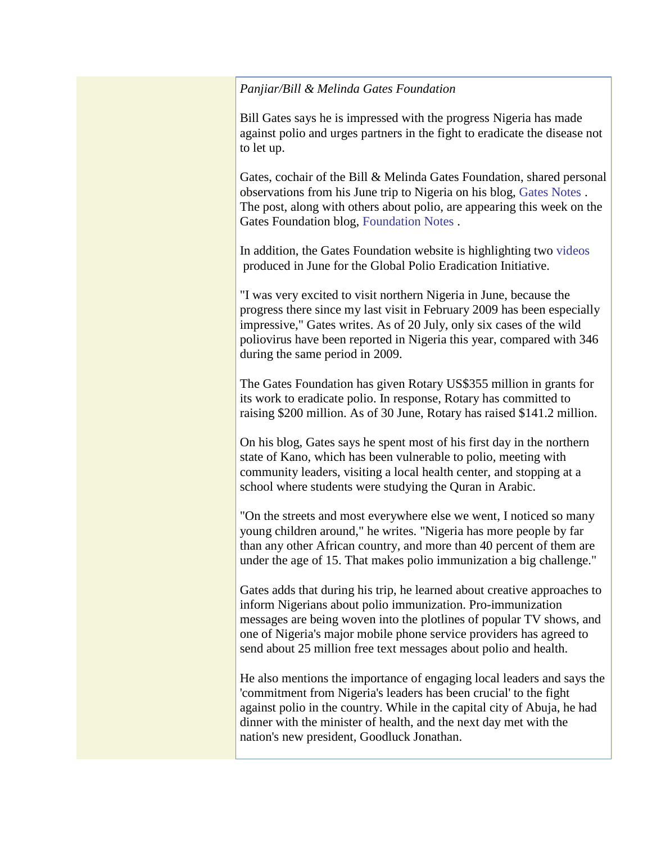*Panjiar/Bill & Melinda Gates Foundation*

Bill Gates says he is impressed with the progress Nigeria has made against polio and urges partners in the fight to eradicate the disease not to let up.

Gates, cochair of the Bill & Melinda Gates Foundation, shared personal observations from his June trip to Nigeria on his blog, Gates Notes . The post, along with others about polio, are appearing this week on the Gates Foundation blog, Foundation Notes .

In addition, the Gates Foundation website is highlighting two videos produced in June for the Global Polio Eradication Initiative.

"I was very excited to visit northern Nigeria in June, because the progress there since my last visit in February 2009 has been especially impressive," Gates writes. As of 20 July, only six cases of the wild poliovirus have been reported in Nigeria this year, compared with 346 during the same period in 2009.

The Gates Foundation has given Rotary US\$355 million in grants for its work to eradicate polio. In response, Rotary has committed to raising \$200 million. As of 30 June, Rotary has raised \$141.2 million.

On his blog, Gates says he spent most of his first day in the northern state of Kano, which has been vulnerable to polio, meeting with community leaders, visiting a local health center, and stopping at a school where students were studying the Quran in Arabic.

"On the streets and most everywhere else we went, I noticed so many young children around," he writes. "Nigeria has more people by far than any other African country, and more than 40 percent of them are under the age of 15. That makes polio immunization a big challenge."

Gates adds that during his trip, he learned about creative approaches to inform Nigerians about polio immunization. Pro-immunization messages are being woven into the plotlines of popular TV shows, and one of Nigeria's major mobile phone service providers has agreed to send about 25 million free text messages about polio and health.

He also mentions the importance of engaging local leaders and says the 'commitment from Nigeria's leaders has been crucial' to the fight against polio in the country. While in the capital city of Abuja, he had dinner with the minister of health, and the next day met with the nation's new president, Goodluck Jonathan.